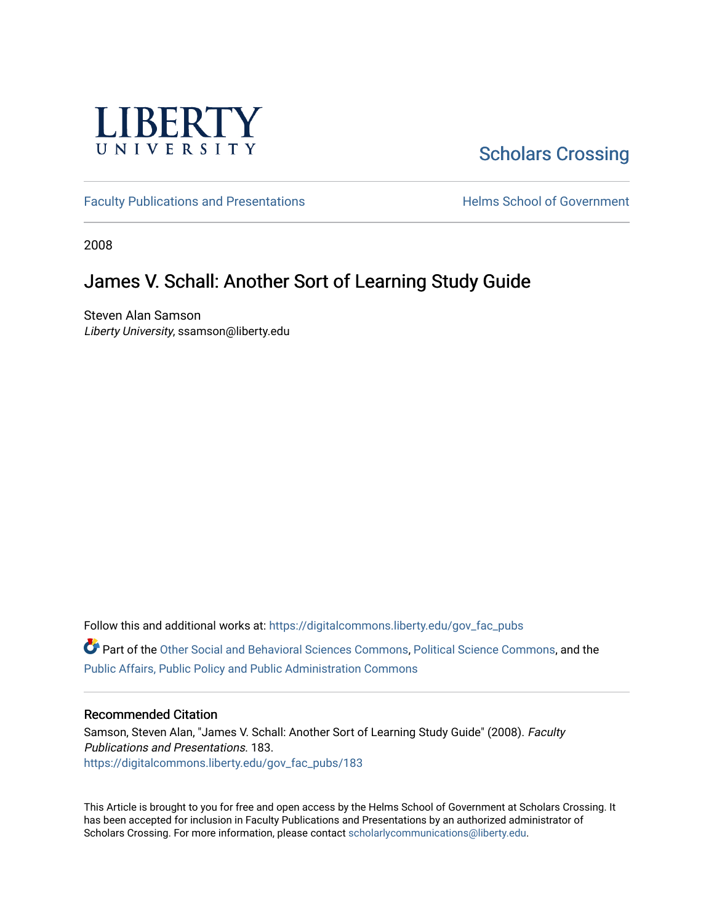

# [Scholars Crossing](https://digitalcommons.liberty.edu/)

[Faculty Publications and Presentations](https://digitalcommons.liberty.edu/gov_fac_pubs) **Exercise School of Government** 

2008

## James V. Schall: Another Sort of Learning Study Guide

Steven Alan Samson Liberty University, ssamson@liberty.edu

Follow this and additional works at: [https://digitalcommons.liberty.edu/gov\\_fac\\_pubs](https://digitalcommons.liberty.edu/gov_fac_pubs?utm_source=digitalcommons.liberty.edu%2Fgov_fac_pubs%2F183&utm_medium=PDF&utm_campaign=PDFCoverPages)

Part of the [Other Social and Behavioral Sciences Commons](http://network.bepress.com/hgg/discipline/437?utm_source=digitalcommons.liberty.edu%2Fgov_fac_pubs%2F183&utm_medium=PDF&utm_campaign=PDFCoverPages), [Political Science Commons](http://network.bepress.com/hgg/discipline/386?utm_source=digitalcommons.liberty.edu%2Fgov_fac_pubs%2F183&utm_medium=PDF&utm_campaign=PDFCoverPages), and the [Public Affairs, Public Policy and Public Administration Commons](http://network.bepress.com/hgg/discipline/393?utm_source=digitalcommons.liberty.edu%2Fgov_fac_pubs%2F183&utm_medium=PDF&utm_campaign=PDFCoverPages)

## Recommended Citation

Samson, Steven Alan, "James V. Schall: Another Sort of Learning Study Guide" (2008). Faculty Publications and Presentations. 183. [https://digitalcommons.liberty.edu/gov\\_fac\\_pubs/183](https://digitalcommons.liberty.edu/gov_fac_pubs/183?utm_source=digitalcommons.liberty.edu%2Fgov_fac_pubs%2F183&utm_medium=PDF&utm_campaign=PDFCoverPages)

This Article is brought to you for free and open access by the Helms School of Government at Scholars Crossing. It has been accepted for inclusion in Faculty Publications and Presentations by an authorized administrator of Scholars Crossing. For more information, please contact [scholarlycommunications@liberty.edu.](mailto:scholarlycommunications@liberty.edu)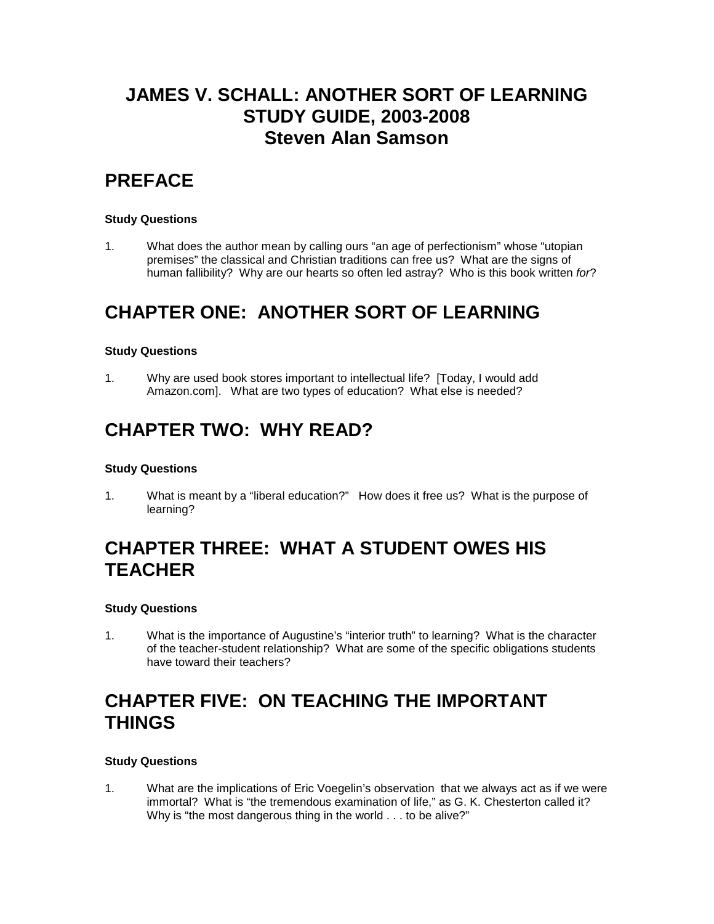# **JAMES V. SCHALL: ANOTHER SORT OF LEARNING STUDY GUIDE, 2003-2008 Steven Alan Samson**

# **PREFACE**

## **Study Questions**

1. What does the author mean by calling ours "an age of perfectionism" whose "utopian premises" the classical and Christian traditions can free us? What are the signs of human fallibility? Why are our hearts so often led astray? Who is this book written *for*?

# **CHAPTER ONE: ANOTHER SORT OF LEARNING**

## **Study Questions**

1. Why are used book stores important to intellectual life? [Today, I would add Amazon.com]. What are two types of education? What else is needed?

## **CHAPTER TWO: WHY READ?**

## **Study Questions**

1. What is meant by a "liberal education?" How does it free us? What is the purpose of learning?

# **CHAPTER THREE: WHAT A STUDENT OWES HIS TEACHER**

## **Study Questions**

1. What is the importance of Augustine's "interior truth" to learning? What is the character of the teacher-student relationship? What are some of the specific obligations students have toward their teachers?

## **CHAPTER FIVE: ON TEACHING THE IMPORTANT THINGS**

### **Study Questions**

1. What are the implications of Eric Voegelin's observation that we always act as if we were immortal? What is "the tremendous examination of life," as G. K. Chesterton called it? Why is "the most dangerous thing in the world . . . to be alive?"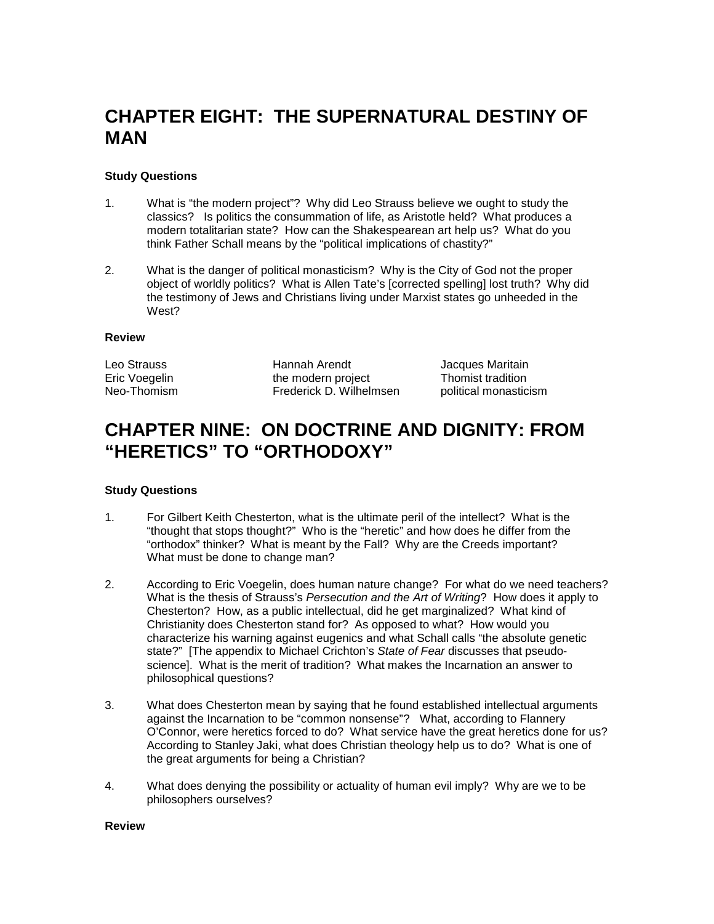# **CHAPTER EIGHT: THE SUPERNATURAL DESTINY OF MAN**

### **Study Questions**

- 1. What is "the modern project"? Why did Leo Strauss believe we ought to study the classics? Is politics the consummation of life, as Aristotle held? What produces a modern totalitarian state? How can the Shakespearean art help us? What do you think Father Schall means by the "political implications of chastity?"
- 2. What is the danger of political monasticism? Why is the City of God not the proper object of worldly politics? What is Allen Tate's [corrected spelling] lost truth? Why did the testimony of Jews and Christians living under Marxist states go unheeded in the West?

### **Review**

Leo Strauss **Hannah Arendt** Jacques Maritain<br>
Eric Voegelin **Graum Hannah Arendt** Marital Maritalin Eric Voegelin **the modern project**<br>
Neo-Thomism **the Trederick D. Wilheln** Frederick D. Wilhelmsen political monasticism

## **CHAPTER NINE: ON DOCTRINE AND DIGNITY: FROM "HERETICS" TO "ORTHODOXY"**

### **Study Questions**

- 1. For Gilbert Keith Chesterton, what is the ultimate peril of the intellect? What is the "thought that stops thought?" Who is the "heretic" and how does he differ from the "orthodox" thinker? What is meant by the Fall? Why are the Creeds important? What must be done to change man?
- 2. According to Eric Voegelin, does human nature change? For what do we need teachers? What is the thesis of Strauss's *Persecution and the Art of Writing*? How does it apply to Chesterton? How, as a public intellectual, did he get marginalized? What kind of Christianity does Chesterton stand for? As opposed to what? How would you characterize his warning against eugenics and what Schall calls "the absolute genetic state?" [The appendix to Michael Crichton's *State of Fear* discusses that pseudoscience]. What is the merit of tradition? What makes the Incarnation an answer to philosophical questions?
- 3. What does Chesterton mean by saying that he found established intellectual arguments against the Incarnation to be "common nonsense"? What, according to Flannery O'Connor, were heretics forced to do? What service have the great heretics done for us? According to Stanley Jaki, what does Christian theology help us to do? What is one of the great arguments for being a Christian?
- 4. What does denying the possibility or actuality of human evil imply? Why are we to be philosophers ourselves?

### **Review**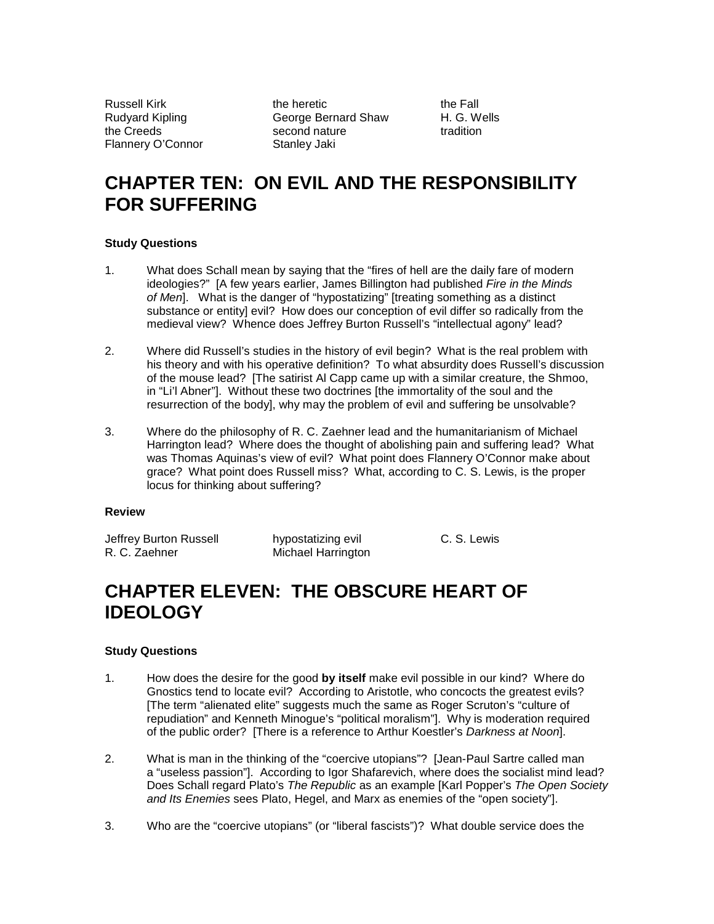Flannery O'Connor Stanley Jaki

Russell Kirk the South the heretic the Fall the Fall<br>Rudvard Kipling the the George Bernard Shaw the H. G. Wells Rudyard Kipling **George Bernard Shaw** H. G. We<br>
the Creeds extending the Creeds tradition second nature

# **CHAPTER TEN: ON EVIL AND THE RESPONSIBILITY FOR SUFFERING**

### **Study Questions**

- 1. What does Schall mean by saying that the "fires of hell are the daily fare of modern ideologies?" [A few years earlier, James Billington had published *Fire in the Minds of Men*]. What is the danger of "hypostatizing" [treating something as a distinct substance or entity] evil? How does our conception of evil differ so radically from the medieval view? Whence does Jeffrey Burton Russell's "intellectual agony" lead?
- 2. Where did Russell's studies in the history of evil begin? What is the real problem with his theory and with his operative definition? To what absurdity does Russell's discussion of the mouse lead? [The satirist Al Capp came up with a similar creature, the Shmoo, in "Li'l Abner"]. Without these two doctrines [the immortality of the soul and the resurrection of the body], why may the problem of evil and suffering be unsolvable?
- 3. Where do the philosophy of R. C. Zaehner lead and the humanitarianism of Michael Harrington lead? Where does the thought of abolishing pain and suffering lead? What was Thomas Aquinas's view of evil? What point does Flannery O'Connor make about grace? What point does Russell miss? What, according to C. S. Lewis, is the proper locus for thinking about suffering?

### **Review**

Jeffrey Burton Russell hypostatizing evil C. S. Lewis<br>R. C. Zaehner Michael Harrington **Michael Harrington** 

# **CHAPTER ELEVEN: THE OBSCURE HEART OF IDEOLOGY**

## **Study Questions**

- 1. How does the desire for the good **by itself** make evil possible in our kind? Where do Gnostics tend to locate evil? According to Aristotle, who concocts the greatest evils? [The term "alienated elite" suggests much the same as Roger Scruton's "culture of repudiation" and Kenneth Minogue's "political moralism"]. Why is moderation required of the public order? [There is a reference to Arthur Koestler's *Darkness at Noon*].
- 2. What is man in the thinking of the "coercive utopians"? [Jean-Paul Sartre called man a "useless passion"]. According to Igor Shafarevich, where does the socialist mind lead? Does Schall regard Plato's *The Republic* as an example [Karl Popper's *The Open Society and Its Enemies* sees Plato, Hegel, and Marx as enemies of the "open society"].
- 3. Who are the "coercive utopians" (or "liberal fascists")? What double service does the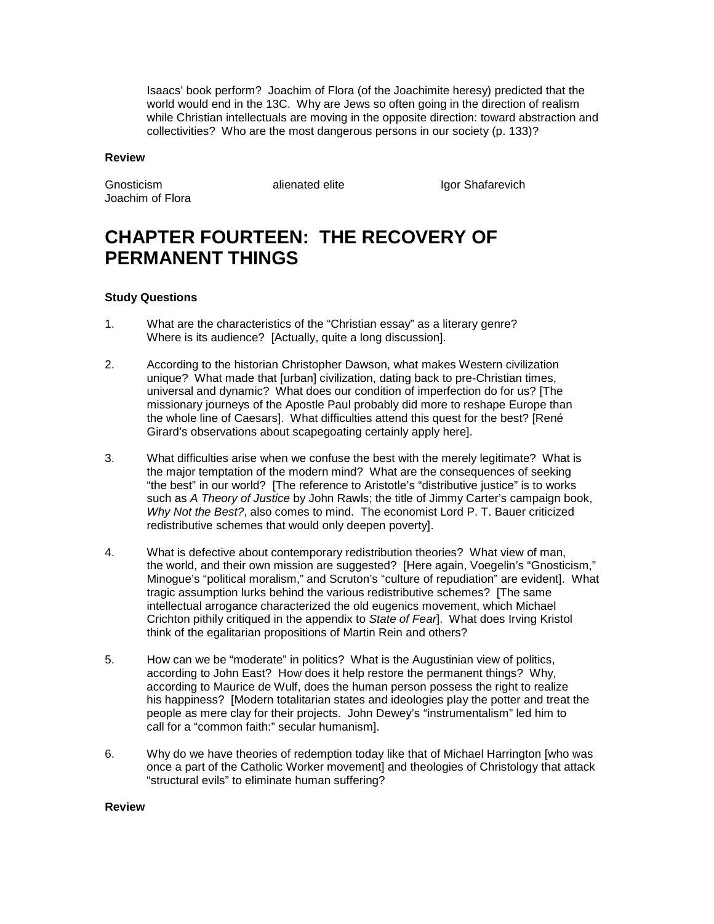Isaacs' book perform? Joachim of Flora (of the Joachimite heresy) predicted that the world would end in the 13C. Why are Jews so often going in the direction of realism while Christian intellectuals are moving in the opposite direction: toward abstraction and collectivities? Who are the most dangerous persons in our society (p. 133)?

#### **Review**

Joachim of Flora

Gnosticism **alienated elite** Igor Shafarevich

# **CHAPTER FOURTEEN: THE RECOVERY OF PERMANENT THINGS**

### **Study Questions**

- 1. What are the characteristics of the "Christian essay" as a literary genre? Where is its audience? [Actually, quite a long discussion].
- 2. According to the historian Christopher Dawson, what makes Western civilization unique? What made that [urban] civilization, dating back to pre-Christian times, universal and dynamic? What does our condition of imperfection do for us? [The missionary journeys of the Apostle Paul probably did more to reshape Europe than the whole line of Caesars]. What difficulties attend this quest for the best? [René Girard's observations about scapegoating certainly apply here].
- 3. What difficulties arise when we confuse the best with the merely legitimate? What is the major temptation of the modern mind? What are the consequences of seeking "the best" in our world? [The reference to Aristotle's "distributive justice" is to works such as *A Theory of Justice* by John Rawls; the title of Jimmy Carter's campaign book, *Why Not the Best?*, also comes to mind. The economist Lord P. T. Bauer criticized redistributive schemes that would only deepen poverty].
- 4. What is defective about contemporary redistribution theories? What view of man, the world, and their own mission are suggested? [Here again, Voegelin's "Gnosticism," Minogue's "political moralism," and Scruton's "culture of repudiation" are evident]. What tragic assumption lurks behind the various redistributive schemes? [The same intellectual arrogance characterized the old eugenics movement, which Michael Crichton pithily critiqued in the appendix to *State of Fear*]. What does Irving Kristol think of the egalitarian propositions of Martin Rein and others?
- 5. How can we be "moderate" in politics? What is the Augustinian view of politics, according to John East? How does it help restore the permanent things? Why, according to Maurice de Wulf, does the human person possess the right to realize his happiness? [Modern totalitarian states and ideologies play the potter and treat the people as mere clay for their projects. John Dewey's "instrumentalism" led him to call for a "common faith:" secular humanism].
- 6. Why do we have theories of redemption today like that of Michael Harrington [who was once a part of the Catholic Worker movement] and theologies of Christology that attack "structural evils" to eliminate human suffering?

#### **Review**